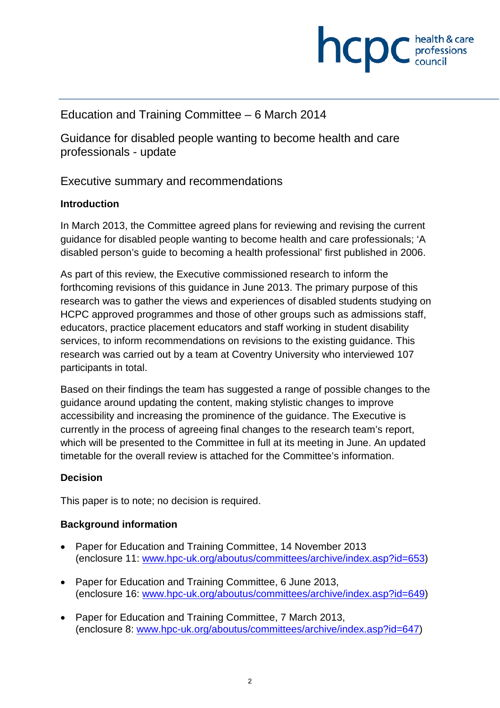

### Education and Training Committee – 6 March 2014

Guidance for disabled people wanting to become health and care professionals - update

### Executive summary and recommendations

#### **Introduction**

In March 2013, the Committee agreed plans for reviewing and revising the current guidance for disabled people wanting to become health and care professionals; 'A disabled person's guide to becoming a health professional' first published in 2006.

As part of this review, the Executive commissioned research to inform the forthcoming revisions of this guidance in June 2013. The primary purpose of this research was to gather the views and experiences of disabled students studying on HCPC approved programmes and those of other groups such as admissions staff, educators, practice placement educators and staff working in student disability services, to inform recommendations on revisions to the existing guidance. This research was carried out by a team at Coventry University who interviewed 107 participants in total.

Based on their findings the team has suggested a range of possible changes to the guidance around updating the content, making stylistic changes to improve accessibility and increasing the prominence of the guidance. The Executive is currently in the process of agreeing final changes to the research team's report, which will be presented to the Committee in full at its meeting in June. An updated timetable for the overall review is attached for the Committee's information.

#### **Decision**

This paper is to note; no decision is required.

#### **Background information**

- Paper for Education and Training Committee, 14 November 2013 (enclosure 11: www.hpc-uk.org/aboutus/committees/archive/index.asp?id=653)
- Paper for Education and Training Committee, 6 June 2013, (enclosure 16: www.hpc-uk.org/aboutus/committees/archive/index.asp?id=649)
- Paper for Education and Training Committee, 7 March 2013, (enclosure 8: www.hpc-uk.org/aboutus/committees/archive/index.asp?id=647)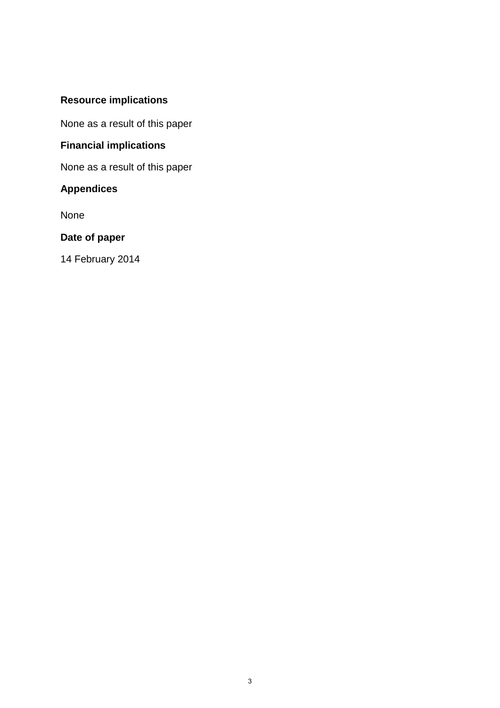# **Resource implications**

None as a result of this paper

# **Financial implications**

None as a result of this paper

### **Appendices**

None

# **Date of paper**

14 February 2014